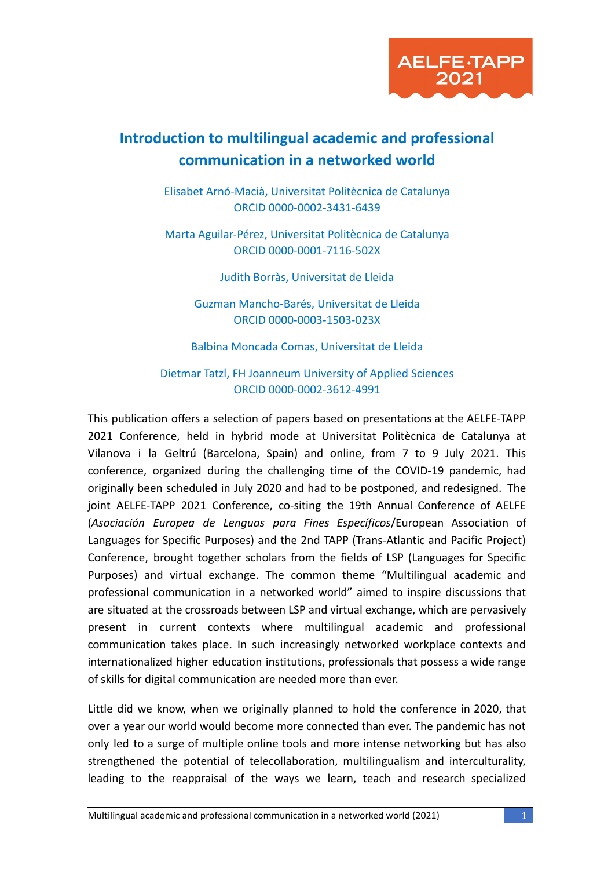

## **Introduction to multilingual academic and professional communication in a networked world**

Elisabet Arnó-Macià, Universitat Politècnica de Catalunya ORCID 0000-0002-3431-6439

Marta Aguilar-Pérez, Universitat Politècnica de Catalunya ORCID 0000-0001-7116-502X

Judith Borràs, Universitat de Lleida

Guzman Mancho-Barés, Universitat de Lleida ORCID 0000-0003-1503-023X

Balbina Moncada Comas, Universitat de Lleida

Dietmar Tatzl, FH Joanneum University of Applied Sciences ORCID 0000-0002-3612-4991

This publication offers a selection of papers based on presentations at the AELFE-TAPP 2021 Conference, held in hybrid mode at Universitat Politècnica de Catalunya at Vilanova i la Geltrú (Barcelona, Spain) and online, from 7 to 9 July 2021. This conference, organized during the challenging time of the COVID-19 pandemic, had originally been scheduled in July 2020 and had to be postponed, and redesigned. The joint AELFE-TAPP 2021 Conference, co-siting the 19th Annual Conference of AELFE (*Asociación Europea de Lenguas para Fines Específicos*/European Association of Languages for Specific Purposes) and the 2nd TAPP (Trans-Atlantic and Pacific Project) Conference, brought together scholars from the fields of LSP (Languages for Specific Purposes) and virtual exchange. The common theme "Multilingual academic and professional communication in a networked world" aimed to inspire discussions that are situated at the crossroads between LSP and virtual exchange, which are pervasively present in current contexts where multilingual academic and professional communication takes place. In such increasingly networked workplace contexts and internationalized higher education institutions, professionals that possess a wide range of skills for digital communication are needed more than ever.

Little did we know, when we originally planned to hold the conference in 2020, that over a year our world would become more connected than ever. The pandemic has not only led to a surge of multiple online tools and more intense networking but has also strengthened the potential of telecollaboration, multilingualism and interculturality, leading to the reappraisal of the ways we learn, teach and research specialized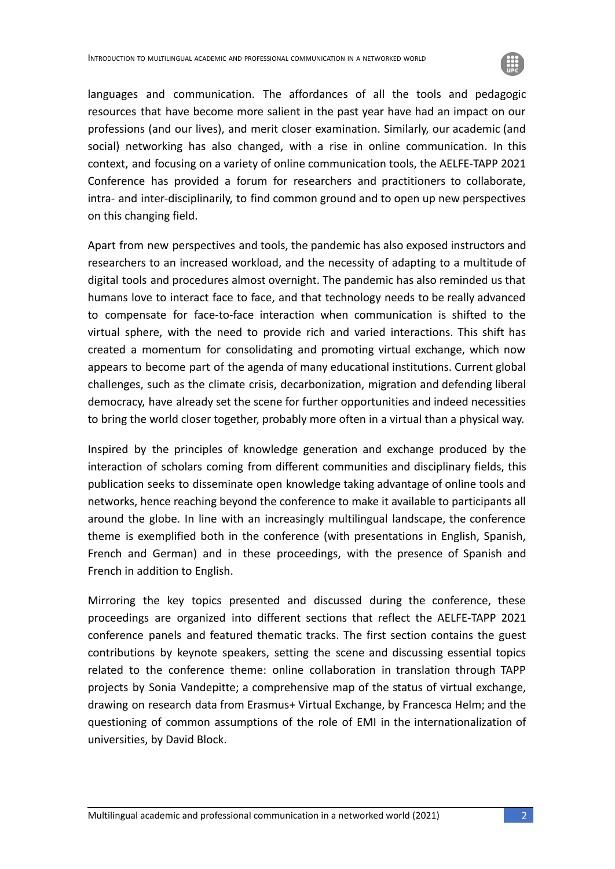

languages and communication. The affordances of all the tools and pedagogic resources that have become more salient in the past year have had an impact on our professions (and our lives), and merit closer examination. Similarly, our academic (and social) networking has also changed, with a rise in online communication. In this context, and focusing on a variety of online communication tools, the AELFE-TAPP 2021 Conference has provided a forum for researchers and practitioners to collaborate, intra- and inter-disciplinarily, to find common ground and to open up new perspectives on this changing field.

Apart from new perspectives and tools, the pandemic has also exposed instructors and researchers to an increased workload, and the necessity of adapting to a multitude of digital tools and procedures almost overnight. The pandemic has also reminded us that humans love to interact face to face, and that technology needs to be really advanced to compensate for face-to-face interaction when communication is shifted to the virtual sphere, with the need to provide rich and varied interactions. This shift has created a momentum for consolidating and promoting virtual exchange, which now appears to become part of the agenda of many educational institutions. Current global challenges, such as the climate crisis, decarbonization, migration and defending liberal democracy, have already set the scene for further opportunities and indeed necessities to bring the world closer together, probably more often in a virtual than a physical way.

Inspired by the principles of knowledge generation and exchange produced by the interaction of scholars coming from different communities and disciplinary fields, this publication seeks to disseminate open knowledge taking advantage of online tools and networks, hence reaching beyond the conference to make it available to participants all around the globe. In line with an increasingly multilingual landscape, the conference theme is exemplified both in the conference (with presentations in English, Spanish, French and German) and in these proceedings, with the presence of Spanish and French in addition to English.

Mirroring the key topics presented and discussed during the conference, these proceedings are organized into different sections that reflect the AELFE-TAPP 2021 conference panels and featured thematic tracks. The first section contains the guest contributions by keynote speakers, setting the scene and discussing essential topics related to the conference theme: online collaboration in translation through TAPP projects by Sonia Vandepitte; a comprehensive map of the status of virtual exchange, drawing on research data from Erasmus+ Virtual Exchange, by Francesca Helm; and the questioning of common assumptions of the role of EMI in the internationalization of universities, by David Block.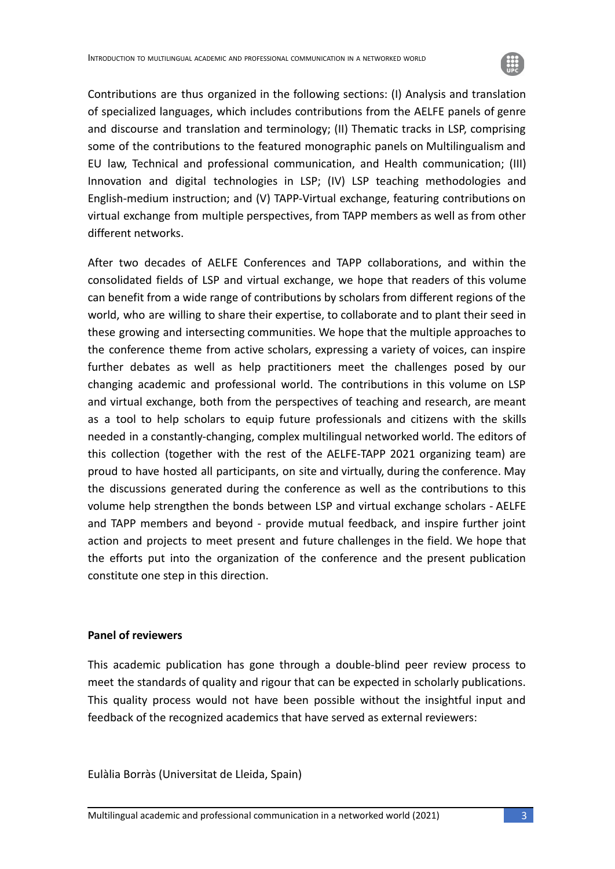

Contributions are thus organized in the following sections: (I) Analysis and translation of specialized languages, which includes contributions from the AELFE panels of genre and discourse and translation and terminology; (II) Thematic tracks in LSP, comprising some of the contributions to the featured monographic panels on Multilingualism and EU law, Technical and professional communication, and Health communication; (III) Innovation and digital technologies in LSP; (IV) LSP teaching methodologies and English-medium instruction; and (V) TAPP-Virtual exchange, featuring contributions on virtual exchange from multiple perspectives, from TAPP members as well as from other different networks.

After two decades of AELFE Conferences and TAPP collaborations, and within the consolidated fields of LSP and virtual exchange, we hope that readers of this volume can benefit from a wide range of contributions by scholars from different regions of the world, who are willing to share their expertise, to collaborate and to plant their seed in these growing and intersecting communities. We hope that the multiple approaches to the conference theme from active scholars, expressing a variety of voices, can inspire further debates as well as help practitioners meet the challenges posed by our changing academic and professional world. The contributions in this volume on LSP and virtual exchange, both from the perspectives of teaching and research, are meant as a tool to help scholars to equip future professionals and citizens with the skills needed in a constantly-changing, complex multilingual networked world. The editors of this collection (together with the rest of the AELFE-TAPP 2021 organizing team) are proud to have hosted all participants, on site and virtually, during the conference. May the discussions generated during the conference as well as the contributions to this volume help strengthen the bonds between LSP and virtual exchange scholars - AELFE and TAPP members and beyond - provide mutual feedback, and inspire further joint action and projects to meet present and future challenges in the field. We hope that the efforts put into the organization of the conference and the present publication constitute one step in this direction.

## **Panel of reviewers**

This academic publication has gone through a double-blind peer review process to meet the standards of quality and rigour that can be expected in scholarly publications. This quality process would not have been possible without the insightful input and feedback of the recognized academics that have served as external reviewers:

Eulàlia Borràs (Universitat de Lleida, Spain)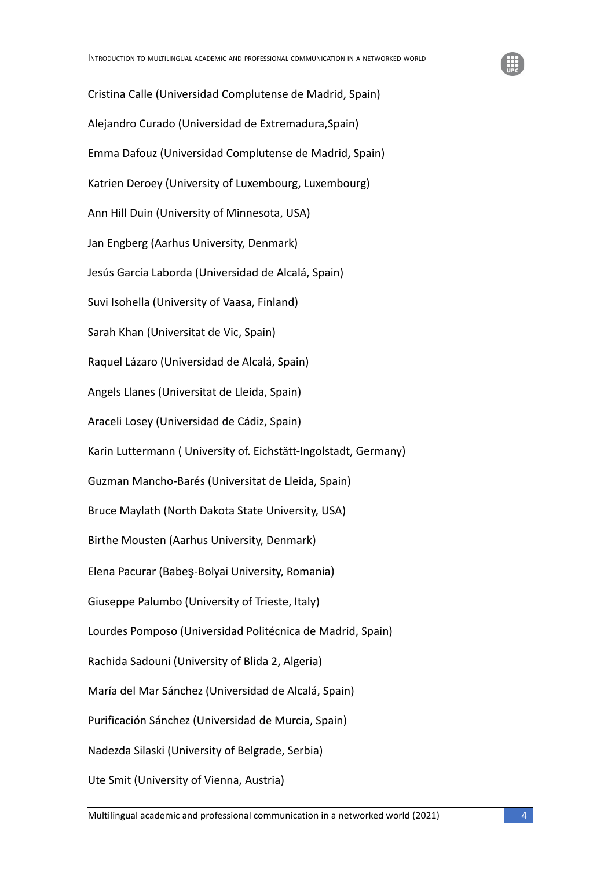

Cristina Calle (Universidad Complutense de Madrid, Spain) Alejandro Curado (Universidad de Extremadura,Spain) Emma Dafouz (Universidad Complutense de Madrid, Spain) Katrien Deroey (University of Luxembourg, Luxembourg) Ann Hill Duin (University of Minnesota, USA) Jan Engberg (Aarhus University, Denmark) Jesús García Laborda (Universidad de Alcalá, Spain) Suvi Isohella (University of Vaasa, Finland) Sarah Khan (Universitat de Vic, Spain) Raquel Lázaro (Universidad de Alcalá, Spain) Angels Llanes (Universitat de Lleida, Spain) Araceli Losey (Universidad de Cádiz, Spain) Karin Luttermann ( University of. Eichstätt-Ingolstadt, Germany) Guzman Mancho-Barés (Universitat de Lleida, Spain) Bruce Maylath (North Dakota State University, USA) Birthe Mousten (Aarhus University, Denmark) Elena Pacurar (Babeş-Bolyai University, Romania) Giuseppe Palumbo (University of Trieste, Italy) Lourdes Pomposo (Universidad Politécnica de Madrid, Spain) Rachida Sadouni (University of Blida 2, Algeria) María del Mar Sánchez (Universidad de Alcalá, Spain) Purificación Sánchez (Universidad de Murcia, Spain) Nadezda Silaski (University of Belgrade, Serbia) Ute Smit (University of Vienna, Austria)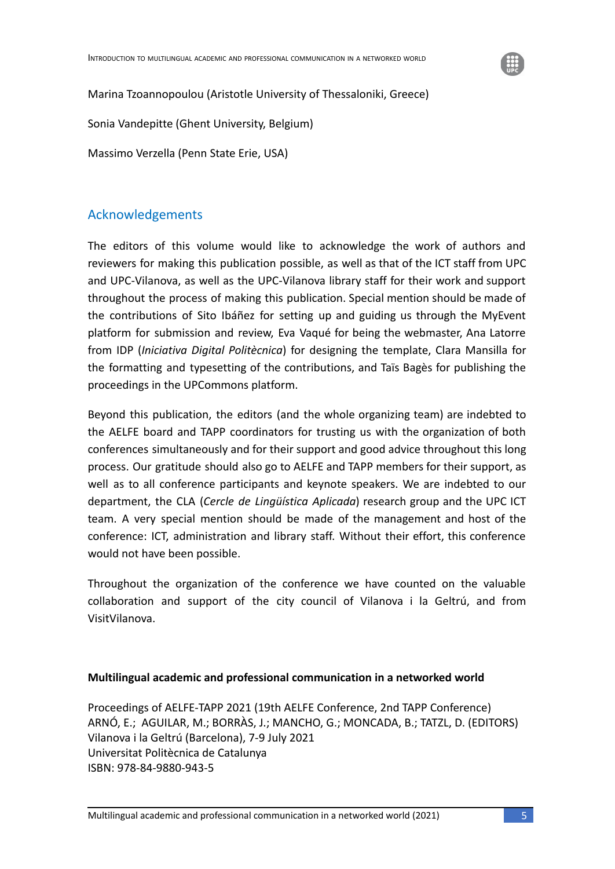

Marina Tzoannopoulou (Aristotle University of Thessaloniki, Greece)

Sonia Vandepitte (Ghent University, Belgium)

Massimo Verzella (Penn State Erie, USA)

## Acknowledgements

The editors of this volume would like to acknowledge the work of authors and reviewers for making this publication possible, as well as that of the ICT staff from UPC and UPC-Vilanova, as well as the UPC-Vilanova library staff for their work and support throughout the process of making this publication. Special mention should be made of the contributions of Sito Ibáñez for setting up and guiding us through the MyEvent platform for submission and review, Eva Vaqué for being the webmaster, Ana Latorre from IDP (*Iniciativa Digital Politècnica*) for designing the template, Clara Mansilla for the formatting and typesetting of the contributions, and Taïs Bagès for publishing the proceedings in the UPCommons platform.

Beyond this publication, the editors (and the whole organizing team) are indebted to the AELFE board and TAPP coordinators for trusting us with the organization of both conferences simultaneously and for their support and good advice throughout this long process. Our gratitude should also go to AELFE and TAPP members for their support, as well as to all conference participants and keynote speakers. We are indebted to our department, the CLA (*Cercle de Lingüística Aplicada*) research group and the UPC ICT team. A very special mention should be made of the management and host of the conference: ICT, administration and library staff. Without their effort, this conference would not have been possible.

Throughout the organization of the conference we have counted on the valuable collaboration and support of the city council of Vilanova i la Geltrú, and from VisitVilanova.

## **Multilingual academic and professional communication in a networked world**

Proceedings of AELFE-TAPP 2021 (19th AELFE Conference, 2nd TAPP Conference) ARNÓ, E.; AGUILAR, M.; BORRÀS, J.; MANCHO, G.; MONCADA, B.; TATZL, D. (EDITORS) Vilanova i la Geltrú (Barcelona), 7-9 July 2021 Universitat Politècnica de Catalunya ISBN: 978-84-9880-943-5